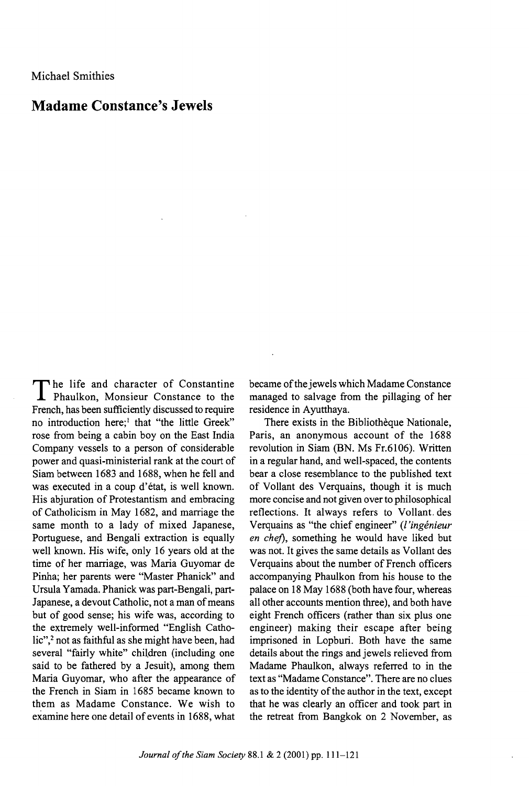## **Madame Constance's Jewels**

The life and character of Constantine<br>
Phaulkon, Monsieur Constance to the French, has been sufficiently discussed to require no introduction here;<sup>1</sup> that "the little Greek" rose from being a cabin boy on the East India Company vessels to a person of considerable power and quasi-ministerial rank at the court of Siam between 1683 and 1688, when he fell and was executed in a coup d'état, is well known. His abjuration of Protestantism and embracing of Catholicism in May 1682, and marriage the same month to a lady of mixed Japanese, Portuguese, and Bengali extraction is equally well known. His wife, only 16 years old at the time of her marriage, was Maria Guyomar de Pinha; her parents were "Master Phanick" and Ursula Yamada. Phanick was part-Bengali, part-Japanese, a devout Catholic, not a man of means but of good sense; his wife was, according to the extremely well-informed "English Catholic",<sup>2</sup> not as faithful as she might have been, had several "fairly white" children (including one said to be fathered by a Jesuit), among them Maria Guyomar, who after the appearance of the French in Siam in 1685 became known to them as Madame Constance. We wish to examine here one detail of events in 1688, what

became of the jewels which Madame Constance managed to salvage from the pillaging of her residence in Ayutthaya.

There exists in the Bibliothèque Nationale, Paris, an anonymous account of the 1688 revolution in Siam (BN. Ms Fr.6106). Written in a regular hand, and well-spaced, the contents bear a close resemblance to the published text of Vollant des Verquains, though it is much more concise and not given over to philosophical reflections. It always refers to Vollant. des Verquains as "the chief engineer" (l *'ingenieur en chef),* something he would have liked but was not. It gives the same details as Vollant des Verquains about the number of French officers accompanying Phaulkon from his house to the palace on 18 May 1688 (both have four, whereas all other accounts mention three), and both have eight French officers (rather than six plus one engineer) making their escape after being imprisoned in Lopburi. Both have the same details about the rings and jewels relieved from Madame Phaulkon, always referred to in the text as "Madame Constance". There are no clues as to the identity of the author in the text, except that he was clearly an officer and took part in the retreat from Bangkok on 2 November, as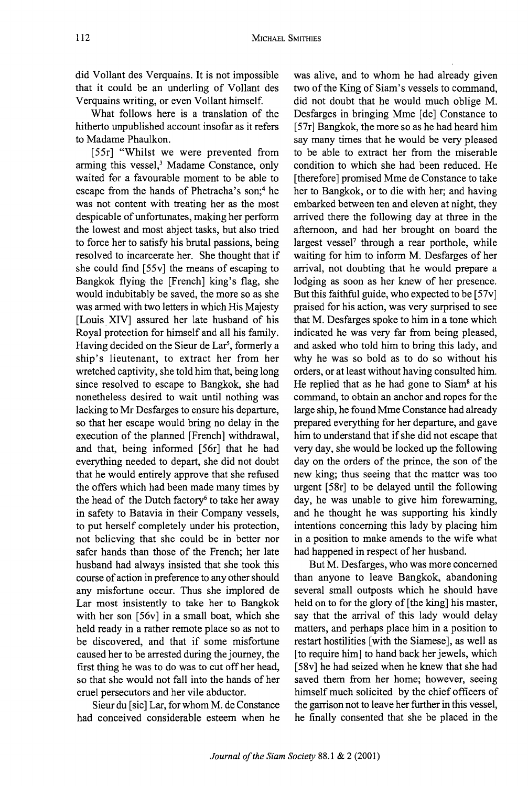did Vollant des Verquains. It is not impossible that it could be an underling of Vollant des Verquains writing, or even Vollant himself.

What follows here is a translation of the hitherto unpublished account insofar as it refers to Madame Phaulkon.

[55r] "Whilst we were prevented from arming this vessel,<sup>3</sup> Madame Constance, only waited for a favourable moment to be able to escape from the hands of Phetracha's son;<sup>4</sup> he was not content with treating her as the most despicable of unfortunates, making her perform the lowest and most abject tasks, but also tried to force her to satisfy his brutal passions, being resolved to incarcerate her. She thought that if she could find [55v] the means of escaping to Bangkok flying the [French] king's flag, she would indubitably be saved, the more so as she was armed with two letters in which His Majesty [Louis XIV] assured her late husband of his Royal protection for himself and all his family. Having decided on the Sieur de Lar<sup>5</sup>, formerly a ship's lieutenant, to extract her from her wretched captivity, she told him that, being long since resolved to escape to Bangkok, she had nonetheless desired to wait until nothing was lacking to Mr Desfarges to ensure his departure, so that her escape would bring no delay in the execution of the planned [French] withdrawal, and that, being informed [56r] that he had everything needed to depart, she did not doubt that he would entirely approve that she refused the offers which had been made many times by the head of the Dutch factory<sup>6</sup> to take her away in safety to Batavia in their Company vessels, to put herself completely under his protection, not believing that she could be in better nor safer hands than those of the French; her late husband had always insisted that she took this course of action in preference to any other should any misfortune occur. Thus she implored de Lar most insistently to take her to Bangkok with her son [56v] in a small boat, which she held ready in a rather remote place so as not to be discovered, and that if some misfortune caused her to be arrested during the journey, the first thing he was to do was to cut off her head, so that she would not fall into the hands of her cruel persecutors and her vile abductor.

Sieur du [sic] Lar, for whom M. de Constance had conceived considerable esteem when he was alive, and to whom he had already given two of the King of Siam's vessels to command, did not doubt that he would much oblige M. Desfarges in bringing Mme [de] Constance to  $[57r]$  Bangkok, the more so as he had heard him say many times that he would be very pleased to be able to extract her from the miserable condition to which she had been reduced. He [therefore] promised Mme de Constance to take her to Bangkok, or to die with her; and having embarked between ten and eleven at night, they arrived there the following day at three in the afternoon, and had her brought on board the largest vessel<sup>7</sup> through a rear porthole, while waiting for him to inform M. Desfarges of her arrival, not doubting that he would prepare a lodging as soon as her knew of her presence. But this faithful guide, who expected to be [57v] praised for his action, was very surprised to see that M. Desfarges spoke to him in a tone which indicated he was very far from being pleased, and asked who told him to bring this lady, and why he was so bold as to do so without his orders, or at least without having consulted him. He replied that as he had gone to Siam8 at his command, to obtain an anchor and ropes for the large ship, he found Mme Constance had already prepared everything for her departure, and gave him to understand that if she did not escape that very day, she would be locked up the following day on the orders of the prince, the son of the new king; thus seeing that the matter was too urgent [58r] to be delayed until the following day, he was unable to give him forewarning, and he thought he was supporting his kindly intentions concerning this lady by placing him in a position to make amends to the wife what had happened in respect of her husband.

But M. Desfarges, who was more concerned than anyone to leave Bangkok, abandoning several small outposts which he should have held on to for the glory of [the king] his master, say that the arrival of this lady would delay matters, and perhaps place him in a position to restart hostilities [with the Siamese], as well as [to require him] to hand back her jewels, which [58v] he had seized when he knew that she had saved them from her home; however, seeing himself much solicited by the chief officers of the garrison not to leave her further in this vessel, he finally consented that she be placed in the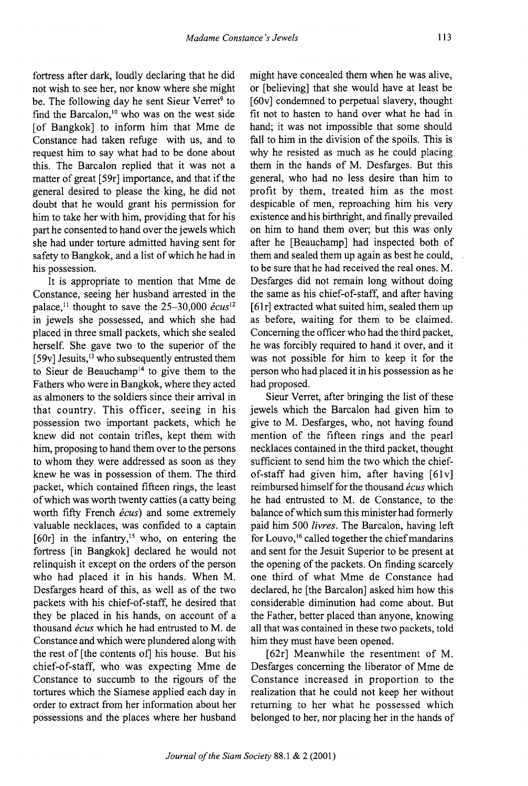fortress after dark, loudly declaring that he did not wish to see her, nor know where she might be. The following day he sent Sieur Verret<sup>9</sup> to find the Barcalon,<sup>10</sup> who was on the west side [of Bangkok] to inform him that Mme de Constance had taken refuge with us, and to request him to say what had to be done about this. The Barcalon replied that it was not a matter of great [59r] importance, and that if the general desired to please the king, he did not doubt that he would grant his permission for him to take her with him, providing that for his part he consented to hand over the jewels which she had under torture admitted having sent for safety to Bangkok, and a list of which he had in his possession.

It is appropriate to mention that Mme de Constance, seeing her husband arrested in the palace,<sup>11</sup> thought to save the  $25-30,000$  écus<sup>12</sup> in jewels she possessed, and which she had placed in three small packets, which she sealed herself. She gave two to the superior of the  $[59v]$  Jesuits,<sup>13</sup> who subsequently entrusted them to Sieur de Beauchamp<sup>14</sup> to give them to the Fathers who were in Bangkok, where they acted as almoners to the soldiers since their arrival in that country. This officer, seeing in his possession two important packets, which he knew did not contain trifles, kept them with him, proposing to hand them over to the persons to whom they were addressed as soon as they knew he was in possession of them. The third packet, which contained fifteen rings, the least of which was worth twenty catties (a catty being worth fifty French écus) and some extremely valuable necklaces, was confided to a captain  $[60r]$  in the infantry,<sup>15</sup> who, on entering the fortress [in Bangkok] declared he would not relinquish it except on the orders of the person who had placed it in his hands. When M. Desfarges heard of this, as well as of the two packets with his chief-of-staff, he desired that they be placed in his hands, on account of a thousand *ecus* which he had entrusted to M. de Constance and which were plundered along with the rest of [the contents of] his house. But his chief-of-staff, who was expecting Mme de Constance to succumb to the rigours of the tortures which the Siamese applied each day in order to extract from her information about her possessions and the places where her husband

might have concealed them when he was alive, or [believing] that she would have at least be [60v] condemned to perpetual slavery, thought fit not to hasten to hand over what he had in hand; it was not impossible that some should fall to him in the division of the spoils. This is why he resisted as much as he could placing them in the hands of M. Desfarges. But this general, who had no less desire than him to profit by them, treated him as the most despicable of men, reproaching him his very existence and his birthright, and finally prevailed on him to hand them over; but this was only after he [Beauchamp] had inspected both of them and sealed them up again as best he could, to be sure that he had received the real ones. M. Desfarges did not remain long without doing the same as his chief-of-staff, and after having  $[6]r$  extracted what suited him, sealed them up as before, waiting for them to be claimed. Concerning the officer who had the third packet, he was forcibly required to hand it over, and it was not possible for him to keep it for the person who had placed it in his possession as he had proposed.

Sieur Verret, after bringing the list of these jewels which the Barcalon had given him to give to M. Desfarges, who, not having found mention of the fifteen rings and the pearl necklaces contained in the third packet, thought sufficient to send him the two which the chiefof-staff had given him, after having  $[61v]$ reimbursed himself for the thousand *ecus* which he had entrusted to M. de Constance, to the balance of which sum this minister had formerly paid him 500 *livres.* The Barcalon, having left for Louvo, 16 called together the chief mandarins and sent for the Jesuit Superior to be present at the opening of the packets. On finding scarcely one third of what Mme de Constance had declared, he [the Barcalon] asked him how this considerable diminution had come about. But the Father, better placed than anyone, knowing all that was contained in these two packets, told him they must have been opened.

[62r] Meanwhile the resentment of M. Desfarges concerning the liberator of Mme de Constance increased in proportion to the realization that he could not keep her without returning to her what he possessed which belonged to her, nor placing her in the hands of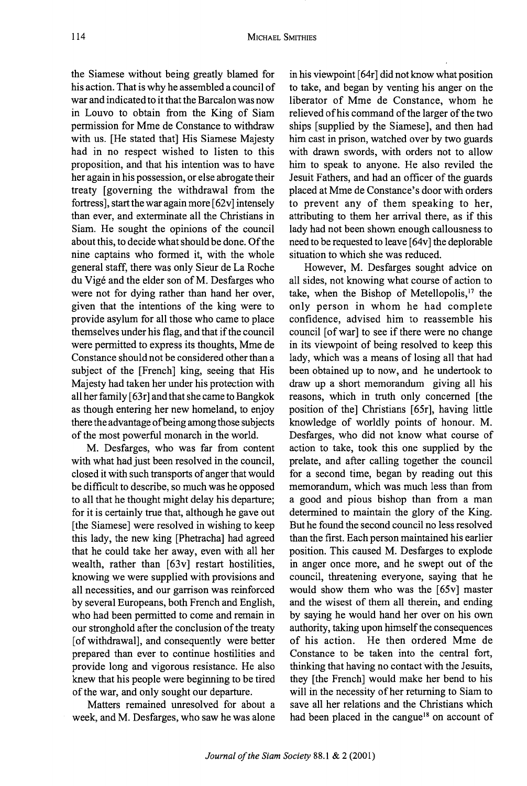*Journal of the Siam Society* 88.1 & 2 (2001)

the Siamese without being greatly blamed for his action. That is why he assembled a council of war and indicated to it that the Barcalon was now in Louvo to obtain from the King of Siam permission for Mme de Constance to withdraw with us. [He stated that] His Siamese Majesty had in no respect wished to listen to this proposition, and that his intention was to have her again in his possession, or else abrogate their treaty [governing the withdrawal from the fortress], start the war again more  $[62v]$  intensely than ever, and exterminate all the Christians in Siam. He sought the opinions of the council about this, to decide what should be done. Of the nine captains who formed it, with the whole general staff, there was only Sieur de La Roche du Vige and the elder son of M. Desfarges who were not for dying rather than hand her over, given that the intentions of the king were to provide asylum for all those who came to place themselves under his flag, and that if the council were permitted to express its thoughts, Mme de Constance should not be considered other than a subject of the [French] king, seeing that His Majesty had taken her under his protection with all her family [ 63r] and that she came to Bangkok as though entering her new homeland, to enjoy there the advantage ofbeing among those subjects of the most powerful monarch in the world.

M. Desfarges, who was far from content with what had just been resolved in the council, closed it with such transports of anger that would be difficult to describe, so much was he opposed to all that he thought might delay his departure; for it is certainly true that, although he gave out [the Siamese] were resolved in wishing to keep this lady, the new king [Phetracha] had agreed that he could take her away, even with all her wealth, rather than [63v] restart hostilities, knowing we were supplied with provisions and all necessities, and our garrison was reinforced by several Europeans, both French and English, who had been permitted to come and remain in our stronghold after the conclusion of the treaty [of withdrawal], and consequently were better prepared than ever to continue hostilities and provide long and vigorous resistance. He also knew that his people were beginning to be tired of the war, and only sought our departure.

Matters remained unresolved for about a week, and M. Desfarges, who saw he was alone in his viewpoint [ 64r] did not know what position to take, and began by venting his anger on the liberator of Mme de Constance, whom he relieved of his command of the larger of the two ships [supplied by the Siamese], and then had him cast in prison, watched over by two guards with drawn swords, with orders not to allow him to speak to anyone. He also reviled the Jesuit Fathers, and had an officer of the guards placed at Mme de Constance's door with orders to prevent any of them speaking to her, attributing to them her arrival there, as if this lady had not been shown enough callousness to need to be requested to leave [64v] the deplorable situation to which she was reduced.

However, M. Desfarges sought advice on all sides, not knowing what course of action to take, when the Bishop of Metellopolis, 17 the only person in whom he had complete confidence, advised him to reassemble his council [of war] to see if there were no change in its viewpoint of being resolved to keep this lady, which was a means of losing all that had been obtained up to now, and he undertook to draw up a short memorandum giving all his reasons, which in truth only concerned [the position of the] Christians [65r], having little knowledge of worldly points of honour. M. Desfarges, who did not know what course of action to take, took this one supplied by the prelate, and after calling together the council for a second time, began by reading out this memorandum, which was much less than from a good and pious bishop than from a man determined to maintain the glory of the King. But he found the second council no less resolved than the first. Each person maintained his earlier position. This caused M. Desfarges to explode in anger once more, and he swept out of the council, threatening everyone, saying that he would show them who was the [65v] master and the wisest of them all therein, and ending by saying he. would hand her over on his own authority, taking upon himself the consequences of his action. He then ordered Mme de Constance to be taken into the central fort, thinking that having no contact with the Jesuits, they [the French] would make her bend to his will in the necessity of her returning to Siam to save all her relations and the Christians which had been placed in the cangue<sup>18</sup> on account of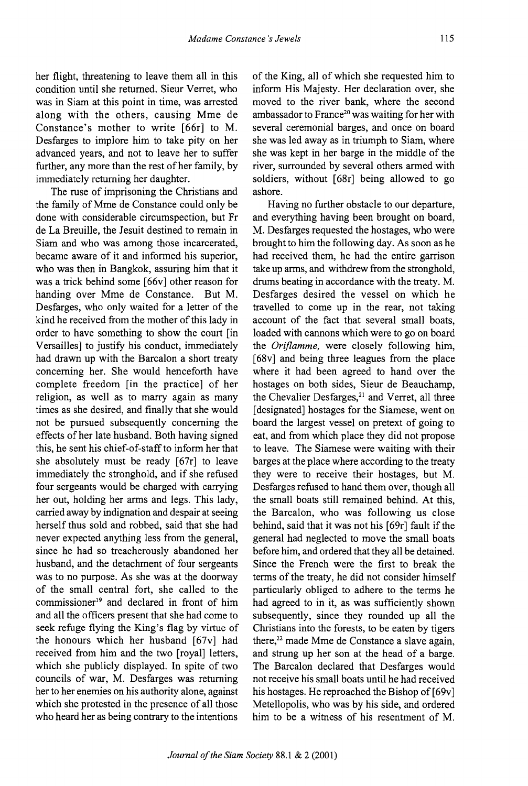her flight, threatening to leave them all in this condition until she returned. Sieur Verret, who was in Siam at this point in time, was arrested along with the others, causing Mme de Constance's mother to write [66r] to M. Desfarges to implore him to take pity on her advanced years, and not to leave her to suffer further, any more than the rest of her family, by immediately returning her daughter.

The ruse of imprisoning the Christians and the family of Mme de Constance could only be done with considerable circumspection, but Fr de La Breuille, the Jesuit destined to remain in Siam and who was among those incarcerated, became aware of it and informed his superior, who was then in Bangkok, assuring him that it was a trick behind some [66v] other reason for handing over Mme de Constance. But M. Desfarges, who only waited for a letter of the kind he received from the mother of this lady in order to have something to show the court [in Versailles] to justify his conduct, immediately had drawn up with the Barcalon a short treaty concerning her. She would henceforth have complete freedom [in the practice] of her religion, as well as to marry again as many times as she desired, and finally that she would not be pursued subsequently concerning the effects of her late husband. Both having signed this, he sent his chief-of-staff to inform her that she absolutely must be ready [67r] to leave immediately the stronghold, and if she refused four sergeants would be charged with carrying her out, holding her arms and legs. This lady, carried away by indignation and despair at seeing herself thus sold and robbed, said that she had never expected anything less from the general, since he had so treacherously abandoned her husband, and the detachment of four sergeants was to no purpose. As she was at the doorway of the small central fort, she called to the commissioner<sup>19</sup> and declared in front of him and all the officers present that she had come to seek refuge flying the King's flag by virtue of the honours which her husband [67v] had received from him and the two [royal] letters, which she publicly displayed. In spite of two councils of war, M. Desfarges was returning her to her enemies on his authority alone, against which she protested in the presence of all those who heard her as being contrary to the intentions

of the King, all of which she requested him to inform His Majesty. Her declaration over, she moved to the river bank, where the second ambassador to France2° was waiting for her with several ceremonial barges, and once on board she was led away as in triumph to Siam, where she was kept in her barge in the middle of the river, surrounded by several others armed with soldiers, without [68r] being allowed to go ashore.

Having no further obstacle to our departure, and everything having been brought on board, M. Desfarges requested the hostages, who were brought to him the following day. As soon as he had received them, he had the entire garrison take up arms, and withdrew from the stronghold, drums beating in accordance with the treaty. M. Desfarges desired the vessel on which he travelled to come up in the rear, not taking account of the fact that several small boats, loaded with cannons which were to go on board the *Oriflamme,* were closely following him, [68v] and being three leagues from the place where it had been agreed to hand over the hostages on both sides, Sieur de Beauchamp, the Chevalier Desfarges,<sup>21</sup> and Verret, all three [designated] hostages for the Siamese, went on board the largest vessel on pretext of going to eat, and from which place they did not propose to leave. The Siamese were waiting with their barges at the place where according to the treaty they were to receive their hostages, but M. Desfarges refused to hand them over, though all the small boats still remained behind. At this, the Barcalon, who was following us close behind, said that it was not his [ 69r] fault if the general had neglected to move the small boats before him, and ordered that they all be detained. Since the French were the first to break the terms of the treaty, he did not consider himself particularly obliged to adhere to the terms he had agreed to in it, as was sufficiently shown subsequently, since they rounded up all the Christians into the forests, to be eaten by tigers there,<sup>22</sup> made Mme de Constance a slave again, and strung up her son at the head of a barge. The Barcalon declared that Desfarges would not receive his small boats until he had received his hostages. He reproached the Bishop of  $[69v]$ Metellopolis, who was by his side, and ordered him to be a witness of his resentment of M.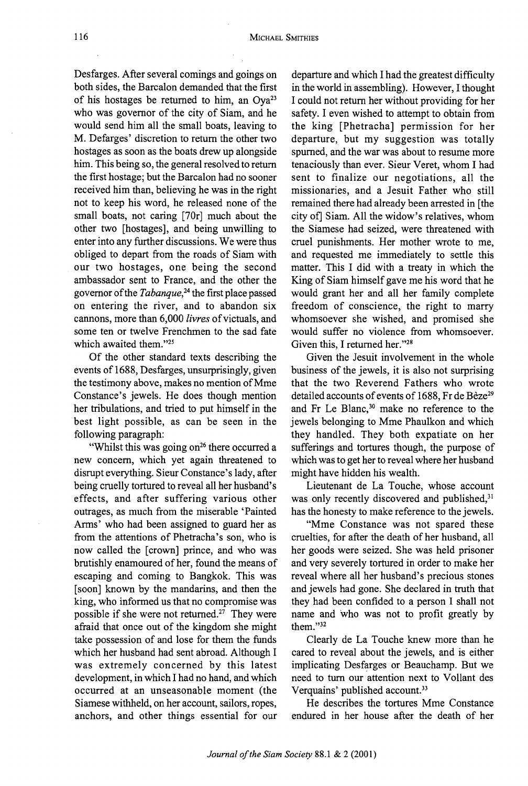Desfarges. After several comings and goings on both sides, the Barcalon demanded that the first of his hostages be returned to him, an  $Oya^{23}$ who was governor of the city of Siam, and he would send him all the small boats, leaving to M. Defarges' discretion to return the other two hostages as soon as the boats drew up alongside him. This being so, the general resolved to return the first hostage; but the Barcalon had no sooner received him than, believing he was in the right not to keep his word, he released none of the small boats, not caring [70r] much about the other two [hostages], and being unwilling to enter into any further discussions. We were thus obliged to depart from the roads of Siam with . our two hostages, one being the second ambassador sent to France, and the other the governor of the *Tabanque,* 24 the first place passed on entering the river, and to abandon six cannons, more than 6,000 *livres* of victuals, and some ten or twelve Frenchmen to the sad fate which awaited them."25

Of the other standard texts describing the events of 1688, Desfarges, unsurprisingly, given the testimony above, makes no mention ofMme Constance's jewels. He does though mention her tribulations, and tried to put himself in the best light possible, as can be seen in the following paragraph:

"Whilst this was going on<sup>26</sup> there occurred a new concern, which yet again threatened to disrupt everything. Sieur Constance's lady, after being cruelly tortured to reveal all her husband's effects, and after suffering various other outrages, as much from the miserable 'Painted Arms' who had been assigned to guard her as from the attentions of Phetracha's son, who is now called the [crown] prince, and who was brutishly enamoured of her, found the means of escaping and coming to Bangkok. This was [soon] known by the mandarins, and then the king, who informed us that no compromise was possible if she were not returned.27 They were afraid that once out of the kingdom she might take possession of and lose for them the funds which her husband had sent abroad. Although I was extremely concerned by this latest development, in which I had no hand, and which occurred at an unseasonable moment (the Siamese withheld, on her account, sailors, ropes, anchors, and other things essential for our departure and which I had the greatest difficulty in the world in assembling). However, I thought I could not return her without providing for her safety. I even wished to attempt to obtain from the king [Phetracha] permission for her departure, but my suggestion was totally spumed, and the war was about to resume more tenaciously than ever. Sieur Veret, whom I had sent to finalize our negotiations, all the missionaries, and a Jesuit Father who still remained there had already been arrested in [the city of] Siam. All the widow's relatives, whom the Siamese had seized, were threatened with cruel punishments. Her mother wrote to me, and requested me immediately to settle this matter. This I did with a treaty in which the King of Siam himself gave me his word that he would grant her and all her family complete freedom of conscience, the right to marry whomsoever she wished, and promised she would suffer no violence from whomsoever. Given this, I returned her."28

Given the Jesuit involvement in the whole business of the jewels, it is also not surprising that the two Reverend Fathers who wrote detailed accounts of events of 1688, Fr de Bèze<sup>29</sup> and Fr Le Blanc,<sup>30</sup> make no reference to the jewels belonging to Mme Phaulkon and which they handled. They both expatiate on her sufferings and tortures though, the purpose of which was to get her to reveal where her husband might have hidden his wealth.

Lieutenant de La Touche, whose account was only recently discovered and published,<sup>31</sup> has the honesty to make reference to the jewels.

"Mme Constance was not spared these cruelties, for after the death of her husband, all her goods were seized. She was held prisoner and very severely tortured in order to make her reveal where all her husband's precious stones and jewels had gone. She declared in truth that they had been confided to a person I shall not name and 'who was not to profit greatly by them."32

Clearly de La Touche knew more than he cared to reveal about the jewels, and is either implicating Desfarges or Beauchamp. But we need to turn our attention next to Vollant des Verquains' published account.33

He describes the tortures Mme Constance endured in her house after the death of her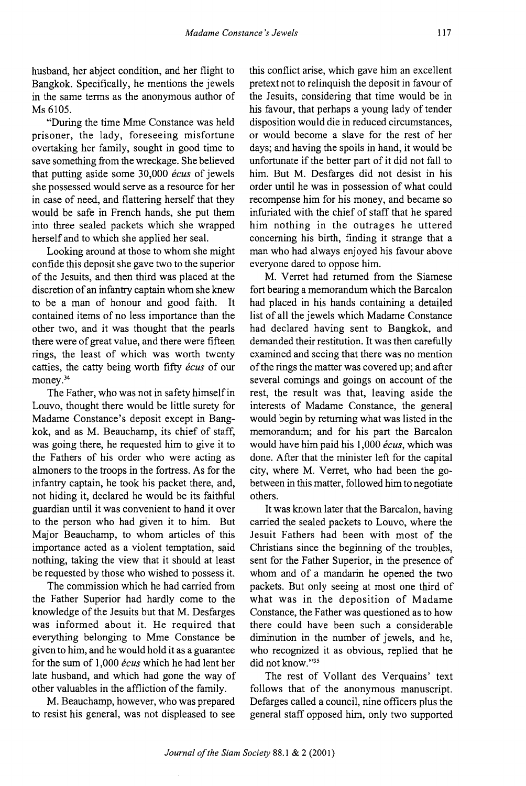husband, her abject condition, and her flight to Bangkok. Specifically, he mentions the jewels in the same terms as the anonymous author of Ms 6105.

"During the time Mme Constance was held prisoner, the lady, foreseeing misfortune overtaking her family, sought in good time to save something from the wreckage. She believed that putting aside some 30,000 *ecus* of jewels she possessed would serve as a resource for her in case of need, and flattering herself that they would be safe in French hands, she put them into three sealed packets which she wrapped herself and to which she applied her seal.

Looking around at those to whom she might confide this deposit she gave two to the superior of the Jesuits, and then third was placed at the discretion of an infantry captain whom she knew to be a man of honour and good faith. It contained items of no less importance than the other two, and it was thought that the pearls there were of great value, and there were fifteen rings, the least of which was worth twenty catties, the catty being worth fifty *ecus* of our money.<sup>34</sup>

The Father, who was not in safety himself in Louvo, thought there would be little surety for Madame Constance's deposit except in Bangkok, and as M. Beauchamp, its chief of staff, was going there, he requested him to give it to the Fathers of his order who were acting as almoners to the troops in the fortress. As for the infantry captain, he took his packet there, and, not hiding it, declared he would be its faithful guardian until it was convenient to hand it over to the person who had given it to him. But Major Beauchamp, to whom articles of this importance acted as a violent temptation, said nothing, taking the view that it should at least be requested by those who wished to possess it.

The commission which he had carried from the Father Superior had hardly come to the knowledge of the Jesuits but that M. Desfarges was informed about it. He required that everything belonging to Mme Constance be given to him, and he would hold it as a guarantee for the sum of 1,000 *ecus* which he had lent her late husband, and which had gone the way of other valuables in the affliction of the family.

M. Beauchamp, however, who was prepared to resist his general, was not displeased to see this conflict arise, which gave him an excellent pretext not to relinquish the deposit in favour of the Jesuits, considering that time would be in his favour, that perhaps a young lady of tender disposition would die in reduced circumstances, or would become a slave for the rest of her days; and having the spoils in hand, it would be unfortunate if the better part of it did not fall to him. But M. Desfarges did not desist in his order until he was in possession of what could recompense him for his money, and became so infuriated with the chief of staff that he spared him nothing in the outrages he uttered concerning his birth, finding it strange that a man who had always enjoyed his favour above everyone dared to oppose him.

M. Verret had returned from the Siamese fort bearing a memorandum which the Barcalon had placed in his hands containing a detailed list of all the jewels which Madame Constance had declared having sent to Bangkok, and demanded their restitution. It was then carefully examined and seeing that there was no mention of the rings the matter was covered up; and after several comings and goings on account of the rest, the result was that, leaving aside the interests of Madame Constance, the general would begin by returning what was listed in the memorandum; and for his part the Barcalon would have him paid his 1,000 *ecus,* which was done. After that the minister left for the capital city, where M. Verret, who had been the gobetween in this matter, followed him to negotiate others.

It was known later that the Barcalon, having carried the sealed packets to Louvo, where the Jesuit Fathers had been with most of the Christians since the beginning of the troubles, sent for the Father Superior, in the presence of whom and of a mandarin he opened the two packets. But only seeing at most one third of what was in the deposition of Madame Constance, the Father was questioned as to how there could have been such a considerable diminution in the number of jewels, and he, who recognized it as obvious, replied that he did not know."35

The rest of Vollant des Verquains' text follows that of the anonymous manuscript. Defarges called a council, nine officers plus the general staff opposed him, only two supported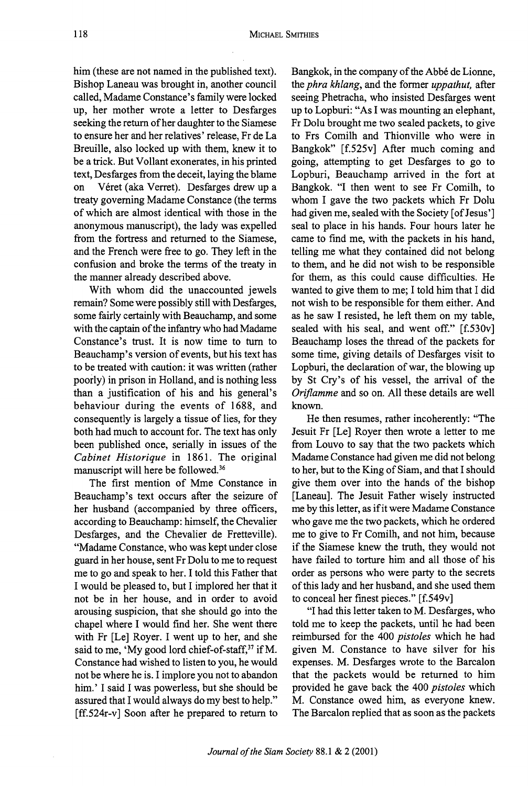him (these are not named in the published text). Bishop Laneau was brought in, another council called, Madame Constance's family were locked up, her mother wrote a letter to Desfarges seeking the return of her daughter to the Siamese to ensure her and her relatives' release, Fr de La Breuille, also locked up with them, knew it to be a trick. But Vollant exonerates, in his printed text, Desfarges from the deceit, laying the blame on Véret (aka Verret). Desfarges drew up a treaty governing Madame Constance (the terms of which are almost identical with those in the anonymous manuscript), the lady was expelled from the fortress and returned to the Siamese, and the French were free to go. They left in the confusion and broke the terms of the treaty in the manner already described above.

With whom did the unaccounted jewels remain? Some were possibly still with Desfarges, some fairly certainly with Beauchamp, and some with the captain of the infantry who had Madame Constance's trust. It is now time to turn to Beauchamp's version of events, but his text has to be treated with caution: it was written (rather poorly) in prison in Holland, and is nothing less than a justification of his and his general's behaviour during the events of 1688, and consequently is largely a tissue of lies, for they both had much to account for. The text has only been published once, serially in issues of the *Cabinet Historique* in 1861. The original manuscript will here be followed.<sup>36</sup>

The first mention of Mme Constance in Beauchamp's text occurs after the seizure of her husband (accompanied by three officers, according to Beauchamp: himself, the Chevalier Desfarges, and the Chevalier de Fretteville). "Madame Constance, who was kept under close guard in her house, sent Fr Dolu to me to request me to go and speak to her. I told this Father that I would be pleased to, but I implored her that it not be in her house, and in order to avoid arousing suspicion, that she should go into the chapel where I would find her. She went there with Fr [Le] Royer. I went up to her, and she said to me, 'My good lord chief-of-staff,<sup>37</sup> if M. Constance had wished to listen to you, he would not be where he is. I implore you not to abandon him.' I said I was powerless, but she should be assured that I would always do my best to help." [ff.524r-v] Soon after he prepared to return to Bangkok, in the company of the Abbé de Lionne, the *phra khlang,* and the former *uppathut,* after seeing Phetracha, who insisted Desfarges went up to Lopburi: "As I was mounting an elephant, Fr Dolu brought me two sealed packets, to give to Frs Comilh and Thionville who were in Bangkok" [f.525v] After much coming and going, attempting to get Desfarges to go to Lopburi, Beauchamp arrived in the fort at Bangkok. "I then went to see Fr Comilh, to whom I gave the two packets which Fr Dolu had given me, sealed with the Society [of Jesus'] seal to place in his hands. Four hours later he came to find me, with the packets in his hand, telling me what they contained did not belong to them, and he did not wish to be responsible for them, as this could cause difficulties. He wanted to give them to me; I told him that I did not wish to be responsible for them either. And as he saw I resisted, he left them on my table, sealed with his seal, and went off." [f.530v] Beauchamp loses the thread of the packets for some time, giving details of Desfarges visit to Lopburi, the declaration of war, the blowing up by St Cry's of his vessel, the arrival of the *Oriflamme* and so on. All these details are well known.

He then resumes, rather incoherently: "The Jesuit Fr [Le] Royer then wrote a letter to me from Louvo to say that the two packets which Madame Constance had given me did not belong to her, but to the King of Siam, and that I should give them over into the hands of the bishop [Laneau]. The Jesuit Father wisely instructed me by this letter, as if it were Madame Constance who gave me the two packets, which he ordered me to give to Fr Comilh, and not him, because if the Siamese knew the truth, they would not have failed to torture him and all those of his order as persons who were party to the secrets of this lady and her husband, and she used them to conceal her finest pieces." [f.549v]

"I had this letter taken to M. Desfarges, who told me to keep the packets, until he had been reimbursed for the 400 *pistoles* which he had given M. Constance to have silver for his expenses. M. Desfarges wrote to the Barcalon that the packets would be returned to him provided he gave back the 400 *pistoles* which M. Constance owed him, as everyone knew. The Barcalon replied that as soon as the packets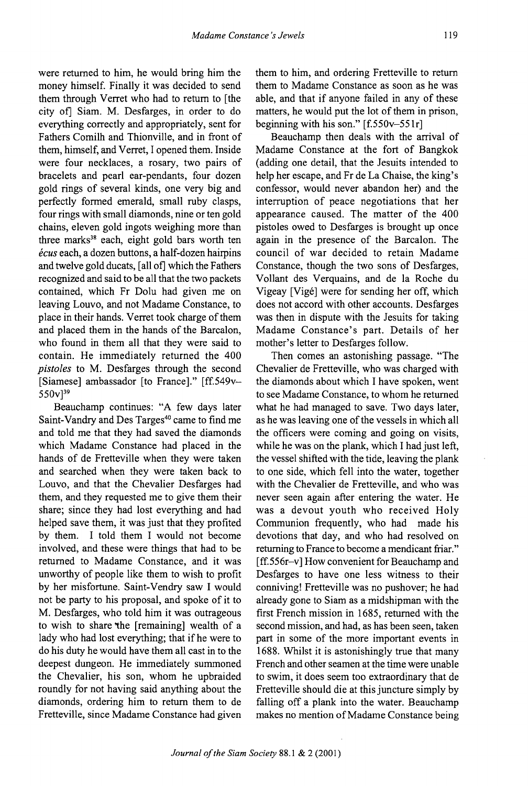were returned to him, he would bring him the money himself. Finally it was decided to send them through Verret who had to return to [the city of] Siam. M. Desfarges, in order to do everything correctly and appropriately, sent for Fathers Comilh and Thionville, and in front of them, himself, and Verret, I opened them. Inside were four necklaces, a rosary, two pairs of bracelets and pearl ear-pendants, four dozen gold rings of several kinds, one very big and perfectly formed emerald, small ruby clasps, four rings with small diamonds, nine or ten gold chains, eleven gold ingots weighing more than three marks<sup>38</sup> each, eight gold bars worth ten *ecus* each, a dozen buttons, a half-dozen hairpins and twelve gold ducats, [all of] which the Fathers recognized and said to be all that the two packets contained, which Fr Dolu had given me on leaving Louvo, and not Madame Constance, to place in their hands. Verret took charge of them and placed them in the hands of the Barcalon, who found in them all that they were said to contain. He immediately returned the 400 *pistoles* to M. Desfarges through the second [Siamese] ambassador [to France]." [ff.549v-550v]39

Beauchamp continues: "A few days later Saint-Vandry and Des Targes<sup>40</sup> came to find me and told me that they had saved the diamonds which Madame Constance had placed in the hands of de Fretteville when they were taken and searched when they were taken back to Louvo, and that the Chevalier Desfarges had them, and they requested me to give them their share; since they had lost everything and had helped save them, it was just that they profited by them. I told them I would not become involved, and these were things that had to be returned to Madame Constance, and it was unworthy of people like them to wish to profit by her misfortune. Saint-Vendry saw I would not be party to his proposal, and spoke of it to M. Desfarges, who told him it was outrageous to wish to share the [remaining] wealth of a lady who had lost everything; that if he were to do his duty he would have them all cast in to the deepest dungeon. He immediately summoned the Chevalier, his son, whom he upbraided roundly for not having said anything about the diamonds, ordering him to return them to de Fretteville, since Madame Constance had given them to him, and ordering Fretteville to return them to Madame Constance as soon as he was able, and that if anyone failed in any of these matters, he would put the lot of them in prison, beginning with his son." [f.550v-551r]

Beauchamp then deals with the arrival of Madame Constance at the fort of Bangkok (adding one detail, that the Jesuits intended to help her escape, and Fr de La Chaise, the king's confessor, would never abandon her) and the interruption of peace negotiations that her appearance caused. The matter of the 400 pistoles owed to Desfarges is brought up once again in the presence of the Barcalon. The council of war decided to retain Madame Constance, though the two sons of Desfarges, Vollant des Verquains, and de la Roche du Vigeay [Vige] were for sending her off, which does not accord with other accounts. Desfarges was then in dispute with the Jesuits for taking Madame Constance's part. Details of her mother's letter to Desfarges follow.

Then comes an astonishing passage. "The Chevalier de Fretteville, who was charged with the diamonds about which I have spoken, went to see Madame Constance, to whom he returned what he had managed to save. Two days later, as he was leaving one of the vessels in which all the officers were coming and going on visits, while he was on the plank, which I had just left, the vessel shifted with the tide, leaving the plank to one side, which fell into the water, together with the Chevalier de Fretteville, and who was never seen again after entering the water. He was a devout youth who received Holy Communion frequently, who had made his devotions that day, and who had resolved on returning to France to become a mendicant friar." [ff.556r-v] How convenient for Beauchamp and Desfarges to have one less witness to their conniving! Fretteville was no pushover; he had already gone to Siam as a midshipman with the first French mission in 1685, returned with the second mission, and had, as has been seen, taken part in some of the more important events in 1688. Whilst it is astonishingly true that many French and other seamen at the time were unable to swim, it does seem too extraordinary that de Fretteville should die at this juncture simply by falling off a plank into the water. Beauchamp makes no mention of Madame Constance being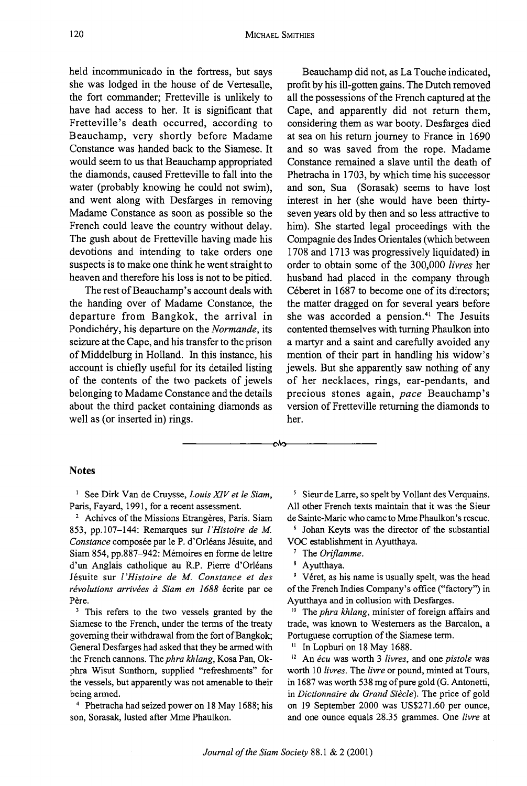held incommunicado in the fortress, but says she was lodged in the house of de Vertesalle, the fort commander; Fretteville is unlikely to have had access to her. It is significant that Fretteville's death occurred, according to Beauchamp, very shortly before Madame Constance was handed back to the Siamese. It would seem to us that Beauchamp appropriated the diamonds, caused Fretteville to fall into the water (probably knowing he could not swim), and went along with Desfarges in removing Madame Constance as soon as possible so the French could leave the country without delay. The gush about de Fretteville having made his devotions and intending to take orders one suspects is to make one think he went straight to heaven and therefore his loss is not to be pitied.

The rest of Beauchamp's account deals with the handing over of Madame Constance, the departure from Bangkok, the arrival in Pondichéry, his departure on the *Normande*, its seizure at the Cape, and his transfer to the prison of Middelburg in Holland. In this instance, his account is chiefly useful for its detailed listing of the contents of the two packets of jewels belonging to Madame Constance and the details about the third packet containing diamonds as well as (or inserted in) rings.

Beauchamp did not, as La Touche indicated, profit by his ill-gotten gains. The Dutch removed all the possessions of the French captured at the Cape, and apparently did not return them, considering them as war booty. Desfarges died at sea on his return journey to France in 1690 and so was saved from the rope. Madame Constance remained a slave until the death of Phetracha in 1703, by which time his successor and son, Sua (Sorasak) seems to have lost interest in her (she would have been thirtyseven years old by then and so less attractive to him). She started legal proceedings with the Compagnie des Indes Orientales (which between 1708 and 1713 was progressively liquidated) in order to obtain some of the 300,000 *livres* her husband had placed in the company through Céberet in 1687 to become one of its directors; the matter dragged on for several years before she was accorded a pension.<sup>41</sup> The Jesuits contented themselves with turning Phaulkon into a martyr and a saint and carefully avoided any mention of their part in handling his widow's jewels. But she apparently saw nothing of any of her necklaces, rings, ear-pendants, and precious stones again, *pace* Beauchamp's version of Fretteville returning the diamonds to her.

## Notes

1 See Dirk Van de Cruysse, *Louis XIV et le Siam,*  Paris, Fayard, 1991, for a recent assessment.

<sup>2</sup> Achives of the Missions Etrangères, Paris. Siam 853, pp.107-144: Remarques sur *l'Histoire de M*  Constance composée par le P. d'Orléans Jésuite, and Siam 854, pp.887-942: Mémoires en forme de lettre d'un Anglais catholique au R.P. Pierre d'Orléans Jesuite sur *l'Histoire de M. Constance et des revolutions arrivees a Siam en 1688* ecrite par ce Père.

<sup>3</sup> This refers to the two vessels granted by the Siamese to the French, under the terms of the treaty governing their withdrawal from the fort of Bangkok; General Desfarges had asked that they be armed with the French cannons. The *phra khlang,* Kosa Pan, Okphra Wisut Sunthorn, supplied "refreshments" for the vessels, but apparently was not amenable to their being armed.

4 Phetracha had seized power on 18 May 1688; his son, Sorasak, lusted after Mme Phaulkon.

<sup>5</sup> Sieur de Larre, so spelt by Vollant des Verquains. All other French texts maintain that it was the Sieur de Sainte-Marie who came to Mme Phaulkon's rescue.

6 Johan Keyts was the director of the substantial VOC establishment in Ayutthaya.

<sup>7</sup>The *Oriflamme.* 

cha

<sup>9</sup> Véret, as his name is usually spelt, was the head of the French Indies Company's office ("factory") in Ayutthaya and in collusion with Desfarges.

<sup>10</sup> The *phra khlang*, minister of foreign affairs and trade, was known to Westerners as the Barcalon, a Portuguese corruption of the Siamese term.

<sup>11</sup> In Lopburi on 18 May 1688.

12 An *ecu* was worth 3 *livres,* and one *pistole* was worth 10 *livres*. The *livre* or pound, minted at Tours, in 1687 was worth 538 mg of pure gold (G. Antonetti, in *Dictionnaire du Grand Siec/e).* The price of gold on 19 September 2000 was US\$271.60 per ounce, and one ounce equals 28.35 grammes. One *livre* at

<sup>8</sup> Ayutthaya.